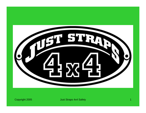

Copyright 2005 **Just Straps 4x4 Safety**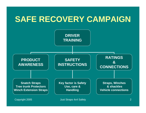

**Copyright 2005** 2 **Just Straps 4x4 Safety** 2 **2**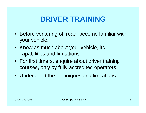## **DRIVER TRAINING**

- Before venturing off road, become familiar with your vehicle.
- Know as much about your vehicle, its capabilities and limitations.
- For first timers, enquire about driver training courses, only by fully accredited operators.
- Understand the techniques and limitations.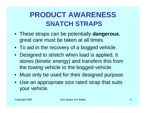# **PRODUCT AWARENESS SNATCH STRAPS**

- These straps can be potentially **dangerous**, great care must be taken at all times.
- To aid in the recovery of a bogged vehicle.
- Designed to stretch when load is applied, it stores (kinetic energy) and transfers this from the towing vehicle to the bogged vehicle.
- Must only be used for their designed purpose.
- Use an appropriate size rated strap that suits your vehicle.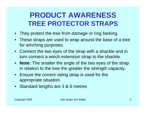## **PRODUCT AWARENESS TREE PROTECTOR STRAPS**

- •They protect the tree from damage or ring barking.
- These straps are used to wrap around the base of a tree for winching purposes.
- Connect the two eyes of the strap with a shackle and in turn connect a winch extension strap to the shackle.
- **Note:** The smaller the angle of the two eyes of the strap in relation to the tree the greater the strength capacity.
- Ensure the correct rating strap is used for the appropriate situation.
- Standard lengths are 3 & 6 metres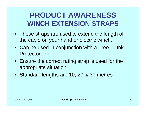#### **PRODUCT AWARENESS WINCH EXTENSION STRAPS**

- These straps are used to extend the length of the cable on your hand or electric winch.
- Can be used in conjunction with a Tree Trunk Protector, etc.
- Ensure the correct rating strap is used for the appropriate situation.
- Standard lengths are 10, 20 & 30 metres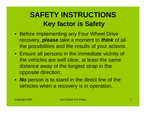# **SAFETY INSTRUCTIONS Key factor is Safety**

- Before implementing any Four Wheel Drive recovery, *please* take a moment to *think* of all the possibilities and the results of your actions.
- Ensure all persons in the immediate vicinity of the vehicles are well clear, at least the same distance away of the longest strap in the opposite direction.
- *No* person is to stand in the direct line of the vehicles when a recovery is in operation.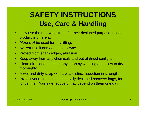# **SAFETY INSTRUCTIONS Use, Care & Handling**

- $\bullet$  Only use the recovery straps for their designed purpose. Each product is different.
- $\bullet$ *Must not* be used for any lifting.
- *Do not* use if damaged in any way.
- $\bullet$ Protect from sharp edges, abrasion.
- $\bullet$ Keep away from any chemicals and out of direct sunlight.
- $\bullet$  Clean dirt, sand, etc from any strap by washing and allow to dry thoroughly.
- A wet and dirty strap will have a distinct reduction in strength.
- $\bullet$  Protect your straps in our specially designed recovery bags, for longer life. Your safe recovery may depend on them one day.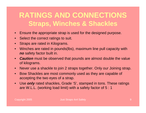#### **RATINGS AND CONNECTIONS Straps, Winches & Shackles**

- •Ensure the appropriate strap is used for the designed purpose.
- $\bullet$ Select the correct ratings to suit.
- •Straps are rated in Kilograms.
- $\bullet$  Winches are rated in pounds(lbs), maximum line pull capacity with *no* safety factor built in.
- $\bullet$  *Caution* must be observed that pounds are almost double the value of kilograms.
- $\bullet$ Never use a shackle to join 2 straps together. Only our Joining strap.
- $\bullet$  Bow Shackles are most commonly used as they are capable of accepting the two eyes of a strap.
- $\bullet$  Use *only* rated shackles, Grade 'S', stamped in tons. These ratings are W.L.L. (working load limit) with a safety factor of 5 : 1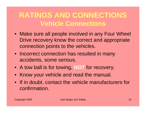#### **RATINGS AND CONNECTIONS Vehicle Connections**

- Make sure all people involved in any Four Wheel Drive recovery know the correct and appropriate connection points to the vehicles.
- Incorrect connection has resulted in many accidents, some serious.
- A tow ball is for towing, *NOT* for recovery.
- Know your vehicle and read the manual.
- If in doubt, contact the vehicle manufacturers for confirmation.